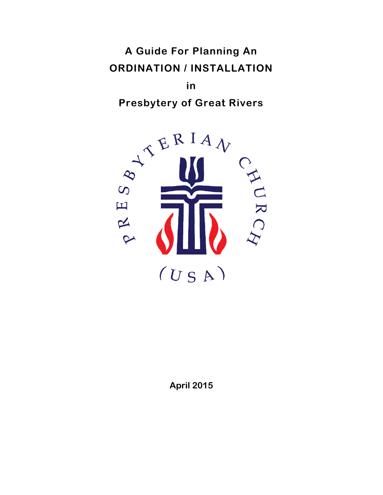# **A Guide For Planning An ORDINATION / INSTALLATION**

**in Presbytery of Great Rivers**



**April 2015**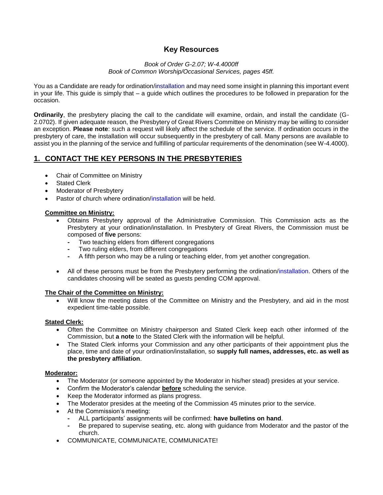## **Key Resources**

#### *Book of Order G-2.07; W-4.4000ff Book of Common Worship/Occasional Services, pages 45ff.*

You as a Candidate are ready for ordination/installation and may need some insight in planning this important event in your life. This guide is simply that – a guide which outlines the procedures to be followed in preparation for the occasion.

**Ordinarily**, the presbytery placing the call to the candidate will examine, ordain, and install the candidate (G-2.0702). If given adequate reason, the Presbytery of Great Rivers Committee on Ministry may be willing to consider an exception. **Please note**: such a request will likely affect the schedule of the service. If ordination occurs in the presbytery of care, the installation will occur subsequently in the presbytery of call. Many persons are available to assist you in the planning of the service and fulfilling of particular requirements of the denomination (see W-4.4000).

# **1. CONTACT THE KEY PERSONS IN THE PRESBYTERIES**

- Chair of Committee on Ministry
- Stated Clerk
- Moderator of Presbytery
- Pastor of church where ordination/installation will be held.

## **Committee on Ministry:**

- Obtains Presbytery approval of the Administrative Commission. This Commission acts as the Presbytery at your ordination/installation. In Presbytery of Great Rivers, the Commission must be composed of **five** persons:
	- **-** Two teaching elders from different congregations
	- **-** Two ruling elders, from different congregations
	- **-** A fifth person who may be a ruling or teaching elder, from yet another congregation.
- All of these persons must be from the Presbytery performing the ordination/installation. Others of the candidates choosing will be seated as guests pending COM approval.

## **The Chair of the Committee on Ministry:**

 Will know the meeting dates of the Committee on Ministry and the Presbytery, and aid in the most expedient time-table possible.

## **Stated Clerk:**

- Often the Committee on Ministry chairperson and Stated Clerk keep each other informed of the Commission, but **a note** to the Stated Clerk with the information will be helpful.
- The Stated Clerk informs your Commission and any other participants of their appointment plus the place, time and date of your ordination/installation, so **supply full names, addresses, etc. as well as the presbytery affiliation**.

## **Moderator:**

- The Moderator (or someone appointed by the Moderator in his/her stead) presides at your service.
- Confirm the Moderator's calendar **before** scheduling the service.
- Keep the Moderator informed as plans progress.
- The Moderator presides at the meeting of the Commission 45 minutes prior to the service.
- At the Commission's meeting:
	- **-** ALL participants' assignments will be confirmed: **have bulletins on hand**.
	- **-** Be prepared to supervise seating, etc. along with guidance from Moderator and the pastor of the church.
- COMMUNICATE, COMMUNICATE, COMMUNICATE!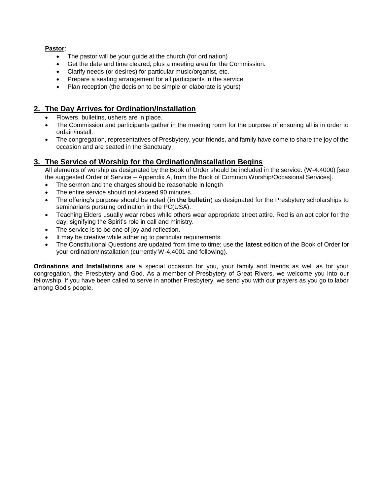**Pastor**:

- The pastor will be your guide at the church (for ordination)
- Get the date and time cleared, plus a meeting area for the Commission.
- Clarify needs (or desires) for particular music/organist, etc.
- Prepare a seating arrangement for all participants in the service
- Plan reception (the decision to be simple or elaborate is yours)

## **2. The Day Arrives for Ordination/Installation**

- Flowers, bulletins, ushers are in place.
- The Commission and participants gather in the meeting room for the purpose of ensuring all is in order to ordain/install.
- The congregation, representatives of Presbytery, your friends, and family have come to share the joy of the occasion and are seated in the Sanctuary.

## **3. The Service of Worship for the Ordination/Installation Begins**

All elements of worship as designated by the Book of Order should be included in the service. (W-4.4000) [see the suggested Order of Service – Appendix A, from the Book of Common Worship/Occasional Services].

- The sermon and the charges should be reasonable in length
- The entire service should not exceed 90 minutes.
- The offering's purpose should be noted (**in the bulletin**) as designated for the Presbytery scholarships to seminarians pursuing ordination in the PC(USA).
- Teaching Elders usually wear robes while others wear appropriate street attire. Red is an apt color for the day, signifying the Spirit's role in call and ministry.
- The service is to be one of joy and reflection.
- It may be creative while adhering to particular requirements.
- The Constitutional Questions are updated from time to time; use the **latest** edition of the Book of Order for your ordination/installation (currently W-4.4001 and following).

**Ordinations and Installations** are a special occasion for you, your family and friends as well as for your congregation, the Presbytery and God. As a member of Presbytery of Great Rivers, we welcome you into our fellowship. If you have been called to serve in another Presbytery, we send you with our prayers as you go to labor among God's people.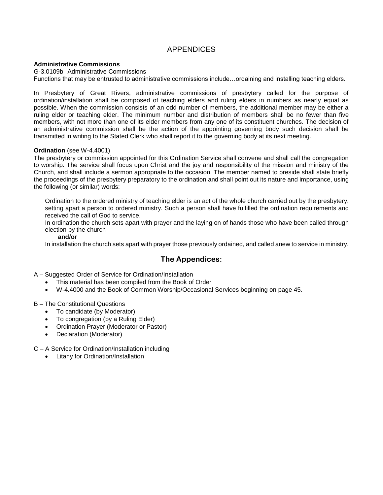# APPENDICES

#### **Administrative Commissions**

G-3.0109b Administrative Commissions

Functions that may be entrusted to administrative commissions include…ordaining and installing teaching elders.

In Presbytery of Great Rivers, administrative commissions of presbytery called for the purpose of ordination/installation shall be composed of teaching elders and ruling elders in numbers as nearly equal as possible. When the commission consists of an odd number of members, the additional member may be either a ruling elder or teaching elder. The minimum number and distribution of members shall be no fewer than five members, with not more than one of its elder members from any one of its constituent churches. The decision of an administrative commission shall be the action of the appointing governing body such decision shall be transmitted in writing to the Stated Clerk who shall report it to the governing body at its next meeting.

#### **Ordination** (see W-4.4001)

The presbytery or commission appointed for this Ordination Service shall convene and shall call the congregation to worship. The service shall focus upon Christ and the joy and responsibility of the mission and ministry of the Church, and shall include a sermon appropriate to the occasion. The member named to preside shall state briefly the proceedings of the presbytery preparatory to the ordination and shall point out its nature and importance, using the following (or similar) words:

Ordination to the ordered ministry of teaching elder is an act of the whole church carried out by the presbytery, setting apart a person to ordered ministry. Such a person shall have fulfilled the ordination requirements and received the call of God to service.

In ordination the church sets apart with prayer and the laying on of hands those who have been called through election by the church

#### **and/or**

In installation the church sets apart with prayer those previously ordained, and called anew to service in ministry.

## **The Appendices:**

A – Suggested Order of Service for Ordination/Installation

- This material has been compiled from the Book of Order
- W-4.4000 and the Book of Common Worship/Occasional Services beginning on page 45.

B – The Constitutional Questions

- To candidate (by Moderator)
- To congregation (by a Ruling Elder)
- Ordination Prayer (Moderator or Pastor)
- Declaration (Moderator)

C – A Service for Ordination/Installation including

Litany for Ordination/Installation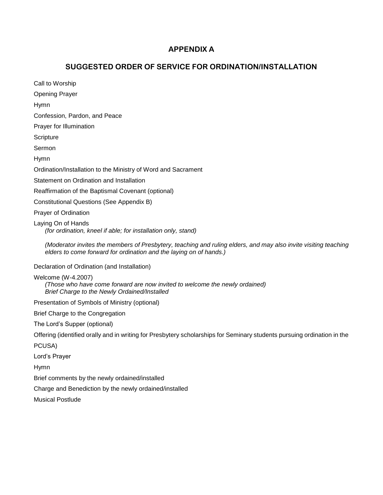# **APPENDIX A**

# **SUGGESTED ORDER OF SERVICE FOR ORDINATION/INSTALLATION**

Call to Worship Opening Prayer Hymn Confession, Pardon, and Peace Prayer for Illumination **Scripture** Sermon Hymn Ordination/Installation to the Ministry of Word and Sacrament Statement on Ordination and Installation Reaffirmation of the Baptismal Covenant (optional) Constitutional Questions (See Appendix B) Prayer of Ordination Laying On of Hands *(for ordination, kneel if able; for installation only, stand) (Moderator invites the members of Presbytery, teaching and ruling elders, and may also invite visiting teaching elders to come forward for ordination and the laying on of hands.)* Declaration of Ordination (and Installation) Welcome (W-4.2007) *(Those who have come forward are now invited to welcome the newly ordained) Brief Charge to the Newly Ordained/Installed* Presentation of Symbols of Ministry (optional) Brief Charge to the Congregation The Lord's Supper (optional) Offering (identified orally and in writing for Presbytery scholarships for Seminary students pursuing ordination in the PCUSA) Lord's Prayer Hymn Brief comments by the newly ordained/installed Charge and Benediction by the newly ordained/installed Musical Postlude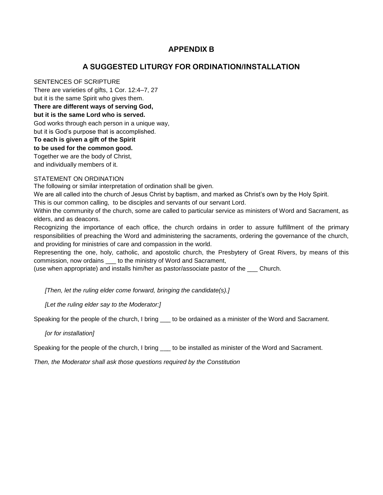# **APPENDIX B**

# **A SUGGESTED LITURGY FOR ORDINATION/INSTALLATION**

#### SENTENCES OF SCRIPTURE

There are varieties of gifts, 1 Cor. 12:4–7, 27 but it is the same Spirit who gives them. **There are different ways of serving God, but it is the same Lord who is served.** God works through each person in a unique way, but it is God's purpose that is accomplished.

**To each is given a gift of the Spirit**

**to be used for the common good.**

Together we are the body of Christ,

and individually members of it.

### STATEMENT ON ORDINATION

The following or similar interpretation of ordination shall be given.

We are all called into the church of Jesus Christ by baptism, and marked as Christ's own by the Holy Spirit.

This is our common calling, to be disciples and servants of our servant Lord.

Within the community of the church, some are called to particular service as ministers of Word and Sacrament, as elders, and as deacons.

Recognizing the importance of each office, the church ordains in order to assure fulfillment of the primary responsibilities of preaching the Word and administering the sacraments, ordering the governance of the church, and providing for ministries of care and compassion in the world.

Representing the one, holy, catholic, and apostolic church, the Presbytery of Great Rivers, by means of this commission, now ordains \_\_\_ to the ministry of Word and Sacrament,

(use when appropriate) and installs him/her as pastor/associate pastor of the \_\_\_ Church.

*[Then, let the ruling elder come forward, bringing the candidate(s).]*

*[Let the ruling elder say to the Moderator:]*

Speaking for the people of the church, I bring  $\_\_$  to be ordained as a minister of the Word and Sacrament.

*[or for installation]*

Speaking for the people of the church, I bring \_\_\_ to be installed as minister of the Word and Sacrament.

*Then, the Moderator shall ask those questions required by the Constitution*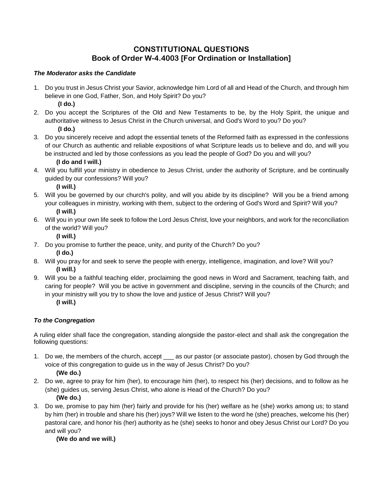# **CONSTITUTIONAL QUESTIONS Book of Order W-4.4003 [For Ordination or Installation]**

## *The Moderator asks the Candidate*

1. Do you trust in Jesus Christ your Savior, acknowledge him Lord of all and Head of the Church, and through him believe in one God, Father, Son, and Holy Spirit? Do you?

**(I do.)**

- 2. Do you accept the Scriptures of the Old and New Testaments to be, by the Holy Spirit, the unique and authoritative witness to Jesus Christ in the Church universal, and God's Word to you? Do you? **(I do.)**
- 3. Do you sincerely receive and adopt the essential tenets of the Reformed faith as expressed in the confessions of our Church as authentic and reliable expositions of what Scripture leads us to believe and do, and will you be instructed and led by those confessions as you lead the people of God? Do you and will you? **(I do and I will.)**
- 4. Will you fulfill your ministry in obedience to Jesus Christ, under the authority of Scripture, and be continually guided by our confessions? Will you?

**(I will.)**

- 5. Will you be governed by our church's polity, and will you abide by its discipline? Will you be a friend among your colleagues in ministry, working with them, subject to the ordering of God's Word and Spirit? Will you? **(I will.)**
- 6. Will you in your own life seek to follow the Lord Jesus Christ, love your neighbors, and work for the reconciliation of the world? Will you?

**(I will.)**

- 7. Do you promise to further the peace, unity, and purity of the Church? Do you? **(I do.)**
- 8. Will you pray for and seek to serve the people with energy, intelligence, imagination, and love? Will you? **(I will.)**
- 9. Will you be a faithful teaching elder, proclaiming the good news in Word and Sacrament, teaching faith, and caring for people? Will you be active in government and discipline, serving in the councils of the Church; and in your ministry will you try to show the love and justice of Jesus Christ? Will you?

## **(I will.)**

## *To the Congregation*

A ruling elder shall face the congregation, standing alongside the pastor-elect and shall ask the congregation the following questions:

- 1. Do we, the members of the church, accept \_\_\_ as our pastor (or associate pastor), chosen by God through the voice of this congregation to guide us in the way of Jesus Christ? Do you? **(We do.)**
- 2. Do we, agree to pray for him (her), to encourage him (her), to respect his (her) decisions, and to follow as he (she) guides us, serving Jesus Christ, who alone is Head of the Church? Do you? **(We do.)**
- 3. Do we, promise to pay him (her) fairly and provide for his (her) welfare as he (she) works among us; to stand by him (her) in trouble and share his (her) joys? Will we listen to the word he (she) preaches, welcome his (her) pastoral care, and honor his (her) authority as he (she) seeks to honor and obey Jesus Christ our Lord? Do you and will you?

**(We do and we will.)**